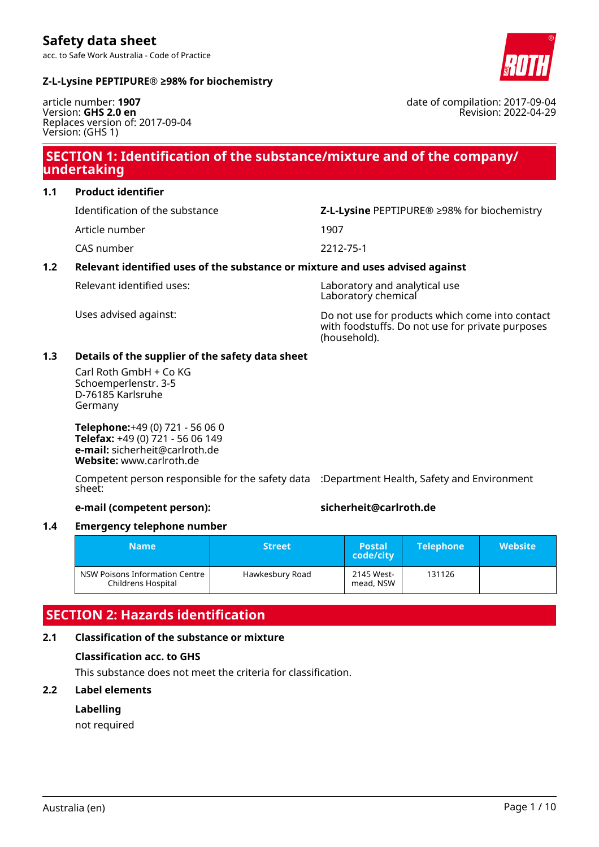**Safety data sheet** acc. to Safe Work Australia - Code of Practice

**Z-L-Lysine PEPTIPURE® ≥98% for biochemistry**

article number: **1907** Version: **GHS 2.0 en** Replaces version of: 2017-09-04 Version: (GHS 1)

## **SECTION 1: Identification of the substance/mixture and of the company/ undertaking**

**1.1 Product identifier**

Identification of the substance **Z-L-Lysine** PEPTIPURE® ≥98% for biochemistry

Article number 1907

CAS number 2212-75-1

### **1.2 Relevant identified uses of the substance or mixture and uses advised against**

Relevant identified uses: Laboratory and analytical use Laboratory chemical

Uses advised against: Do not use for products which come into contact with foodstuffs. Do not use for private purposes (household).

#### **1.3 Details of the supplier of the safety data sheet**

Carl Roth GmbH + Co KG Schoemperlenstr. 3-5 D-76185 Karlsruhe Germany

**Telephone:**+49 (0) 721 - 56 06 0 **Telefax:** +49 (0) 721 - 56 06 149 **e-mail:** sicherheit@carlroth.de **Website:** www.carlroth.de

Competent person responsible for the safety data :Department Health, Safety and Environment sheet:

**e-mail (competent person): sicherheit@carlroth.de**

#### **1.4 Emergency telephone number**

| <b>Name</b>                                          | <b>Street</b>   | <b>Postal</b><br>code/city | <b>Telephone</b> | <b>Website</b> |
|------------------------------------------------------|-----------------|----------------------------|------------------|----------------|
| NSW Poisons Information Centre<br>Childrens Hospital | Hawkesbury Road | 2145 West-<br>mead, NSW    | 131126           |                |

## **SECTION 2: Hazards identification**

## **2.1 Classification of the substance or mixture**

## **Classification acc. to GHS**

This substance does not meet the criteria for classification.

## **2.2 Label elements**

## **Labelling**

not required

#### date of compilation: 2017-09-04 Revision: 2022-04-29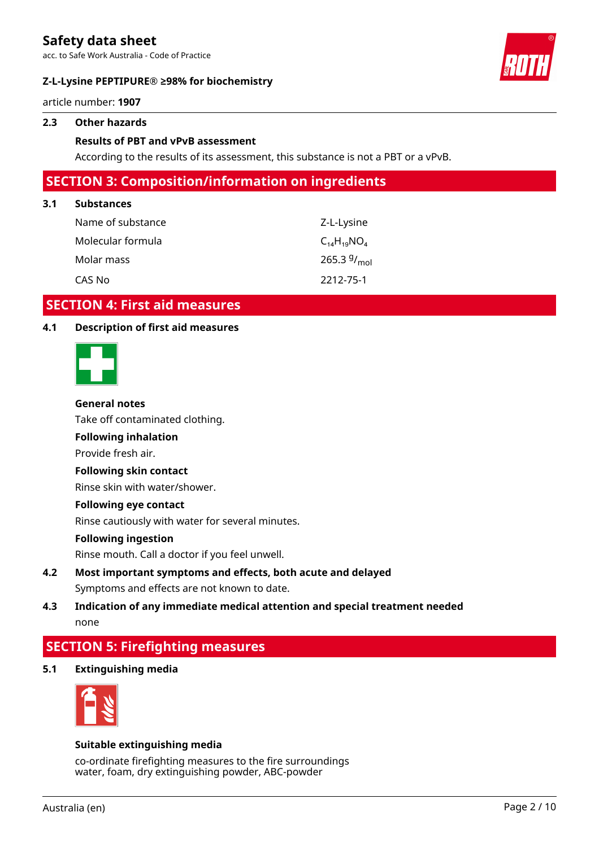acc. to Safe Work Australia - Code of Practice

#### **Z-L-Lysine PEPTIPURE® ≥98% for biochemistry**



article number: **1907**

#### **2.3 Other hazards**

#### **Results of PBT and vPvB assessment**

According to the results of its assessment, this substance is not a PBT or a vPvB.

## **SECTION 3: Composition/information on ingredients**

#### **3.1 Substances**

| Name of substance | Z-L-Lysine         |
|-------------------|--------------------|
| Molecular formula | $C_{14}H_{19}NO_4$ |
| Molar mass        | 265.3 $9/_{mol}$   |
| CAS No            | 2212-75-1          |

## **SECTION 4: First aid measures**

#### **4.1 Description of first aid measures**



#### **General notes**

Take off contaminated clothing.

#### **Following inhalation**

Provide fresh air.

#### **Following skin contact**

Rinse skin with water/shower.

#### **Following eye contact**

Rinse cautiously with water for several minutes.

#### **Following ingestion**

Rinse mouth. Call a doctor if you feel unwell.

**4.2 Most important symptoms and effects, both acute and delayed** Symptoms and effects are not known to date.

## **4.3 Indication of any immediate medical attention and special treatment needed** none

## **SECTION 5: Firefighting measures**

**5.1 Extinguishing media**



#### **Suitable extinguishing media**

co-ordinate firefighting measures to the fire surroundings water, foam, dry extinguishing powder, ABC-powder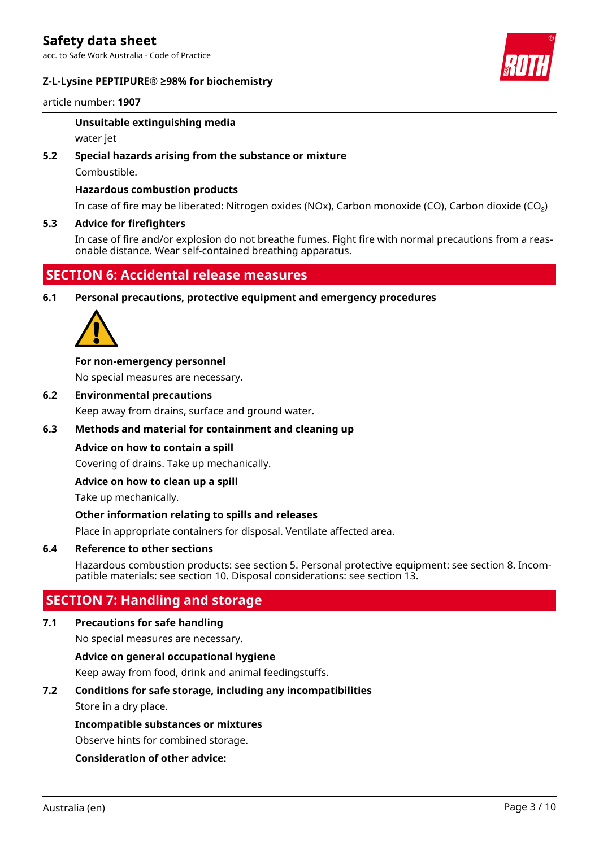acc. to Safe Work Australia - Code of Practice

#### **Z-L-Lysine PEPTIPURE® ≥98% for biochemistry**



article number: **1907**

#### **Unsuitable extinguishing media**

water jet

#### **5.2 Special hazards arising from the substance or mixture**

Combustible.

#### **Hazardous combustion products**

In case of fire may be liberated: Nitrogen oxides (NOx), Carbon monoxide (CO), Carbon dioxide (CO₂)

#### **5.3 Advice for firefighters**

In case of fire and/or explosion do not breathe fumes. Fight fire with normal precautions from a reasonable distance. Wear self-contained breathing apparatus.

## **SECTION 6: Accidental release measures**

**6.1 Personal precautions, protective equipment and emergency procedures**



#### **For non-emergency personnel**

No special measures are necessary.

**6.2 Environmental precautions**

Keep away from drains, surface and ground water.

#### **6.3 Methods and material for containment and cleaning up**

#### **Advice on how to contain a spill**

Covering of drains. Take up mechanically.

#### **Advice on how to clean up a spill**

Take up mechanically.

#### **Other information relating to spills and releases**

Place in appropriate containers for disposal. Ventilate affected area.

#### **6.4 Reference to other sections**

Hazardous combustion products: see section 5. Personal protective equipment: see section 8. Incompatible materials: see section 10. Disposal considerations: see section 13.

## **SECTION 7: Handling and storage**

#### **7.1 Precautions for safe handling**

No special measures are necessary.

#### **Advice on general occupational hygiene**

Keep away from food, drink and animal feedingstuffs.

#### **7.2 Conditions for safe storage, including any incompatibilities**

Store in a dry place.

#### **Incompatible substances or mixtures**

Observe hints for combined storage.

#### **Consideration of other advice:**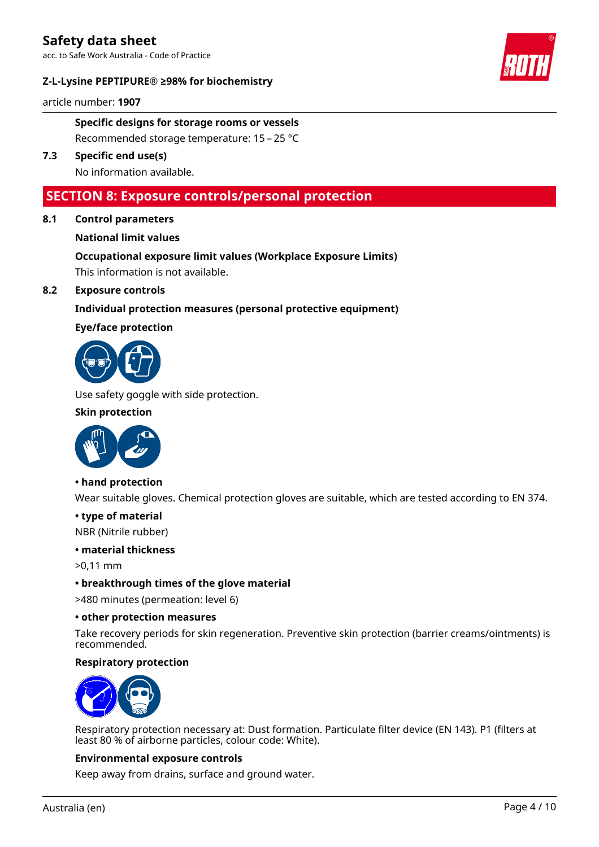acc. to Safe Work Australia - Code of Practice

#### **Z-L-Lysine PEPTIPURE® ≥98% for biochemistry**



article number: **1907**

### **Specific designs for storage rooms or vessels** Recommended storage temperature: 15 – 25 °C

**7.3 Specific end use(s)**

No information available.

## **SECTION 8: Exposure controls/personal protection**

**8.1 Control parameters**

#### **National limit values**

# **Occupational exposure limit values (Workplace Exposure Limits)**

This information is not available.

#### **8.2 Exposure controls**

#### **Individual protection measures (personal protective equipment)**

#### **Eye/face protection**



Use safety goggle with side protection.

#### **Skin protection**



#### **• hand protection**

Wear suitable gloves. Chemical protection gloves are suitable, which are tested according to EN 374.

#### **• type of material**

NBR (Nitrile rubber)

#### **• material thickness**

>0,11 mm

#### **• breakthrough times of the glove material**

>480 minutes (permeation: level 6)

#### **• other protection measures**

Take recovery periods for skin regeneration. Preventive skin protection (barrier creams/ointments) is recommended.

#### **Respiratory protection**



Respiratory protection necessary at: Dust formation. Particulate filter device (EN 143). P1 (filters at least 80 % of airborne particles, colour code: White).

#### **Environmental exposure controls**

Keep away from drains, surface and ground water.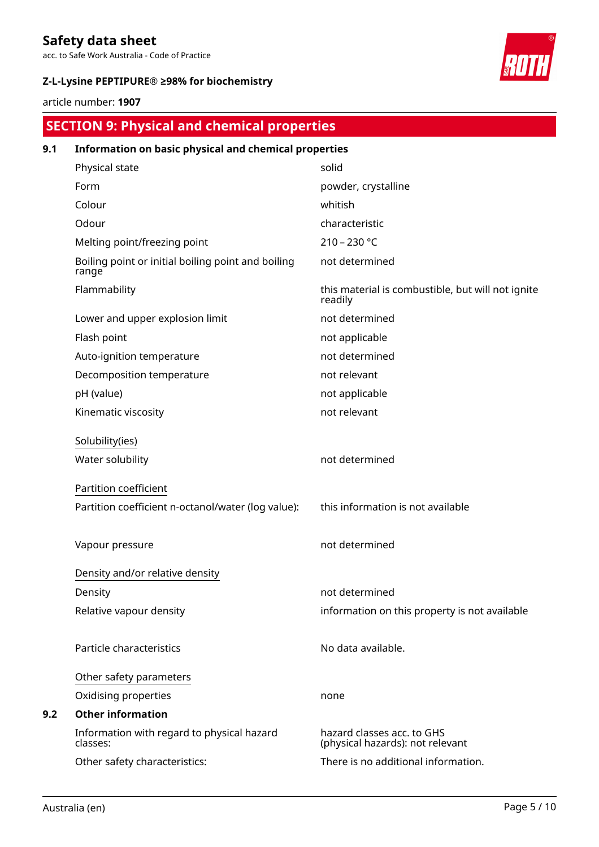acc. to Safe Work Australia - Code of Practice

### **Z-L-Lysine PEPTIPURE® ≥98% for biochemistry**



article number: **1907**

# **SECTION 9: Physical and chemical properties**

| 9.1 | Information on basic physical and chemical properties       |                                                                |  |  |
|-----|-------------------------------------------------------------|----------------------------------------------------------------|--|--|
|     | Physical state                                              | solid                                                          |  |  |
|     | Form                                                        | powder, crystalline                                            |  |  |
|     | Colour                                                      | whitish                                                        |  |  |
|     | Odour                                                       | characteristic                                                 |  |  |
|     | Melting point/freezing point                                | $210 - 230 °C$                                                 |  |  |
|     | Boiling point or initial boiling point and boiling<br>range | not determined                                                 |  |  |
|     | Flammability                                                | this material is combustible, but will not ignite<br>readily   |  |  |
|     | Lower and upper explosion limit                             | not determined                                                 |  |  |
|     | Flash point                                                 | not applicable                                                 |  |  |
|     | Auto-ignition temperature                                   | not determined                                                 |  |  |
|     | Decomposition temperature                                   | not relevant                                                   |  |  |
|     | pH (value)                                                  | not applicable                                                 |  |  |
|     | Kinematic viscosity                                         | not relevant                                                   |  |  |
|     | Solubility(ies)                                             |                                                                |  |  |
|     | Water solubility                                            | not determined                                                 |  |  |
|     | Partition coefficient                                       |                                                                |  |  |
|     | Partition coefficient n-octanol/water (log value):          | this information is not available                              |  |  |
|     | Vapour pressure                                             | not determined                                                 |  |  |
|     | Density and/or relative density                             |                                                                |  |  |
|     | Density                                                     | not determined                                                 |  |  |
|     | Relative vapour density                                     | information on this property is not available                  |  |  |
|     | Particle characteristics                                    | No data available.                                             |  |  |
|     | Other safety parameters                                     |                                                                |  |  |
|     | Oxidising properties                                        | none                                                           |  |  |
| 9.2 | <b>Other information</b>                                    |                                                                |  |  |
|     | Information with regard to physical hazard<br>classes:      | hazard classes acc. to GHS<br>(physical hazards): not relevant |  |  |
|     | Other safety characteristics:                               | There is no additional information.                            |  |  |
|     |                                                             |                                                                |  |  |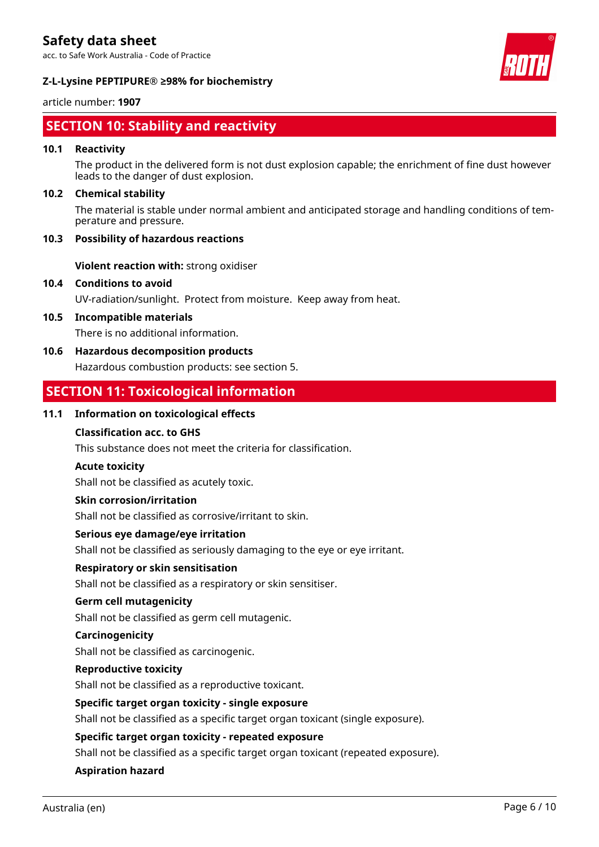acc. to Safe Work Australia - Code of Practice

#### **Z-L-Lysine PEPTIPURE® ≥98% for biochemistry**

#### article number: **1907**

# **SECTION 10: Stability and reactivity**

#### **10.1 Reactivity**

The product in the delivered form is not dust explosion capable; the enrichment of fine dust however leads to the danger of dust explosion.

#### **10.2 Chemical stability**

The material is stable under normal ambient and anticipated storage and handling conditions of temperature and pressure.

#### **10.3 Possibility of hazardous reactions**

**Violent reaction with:** strong oxidiser

**10.4 Conditions to avoid**

UV-radiation/sunlight. Protect from moisture. Keep away from heat.

**10.5 Incompatible materials**

There is no additional information.

#### **10.6 Hazardous decomposition products**

Hazardous combustion products: see section 5.

## **SECTION 11: Toxicological information**

#### **11.1 Information on toxicological effects**

#### **Classification acc. to GHS**

This substance does not meet the criteria for classification.

#### **Acute toxicity**

Shall not be classified as acutely toxic.

#### **Skin corrosion/irritation**

Shall not be classified as corrosive/irritant to skin.

#### **Serious eye damage/eye irritation**

Shall not be classified as seriously damaging to the eye or eye irritant.

#### **Respiratory or skin sensitisation**

Shall not be classified as a respiratory or skin sensitiser.

#### **Germ cell mutagenicity**

Shall not be classified as germ cell mutagenic.

#### **Carcinogenicity**

Shall not be classified as carcinogenic.

#### **Reproductive toxicity**

Shall not be classified as a reproductive toxicant.

#### **Specific target organ toxicity - single exposure**

Shall not be classified as a specific target organ toxicant (single exposure).

#### **Specific target organ toxicity - repeated exposure**

Shall not be classified as a specific target organ toxicant (repeated exposure).

#### **Aspiration hazard**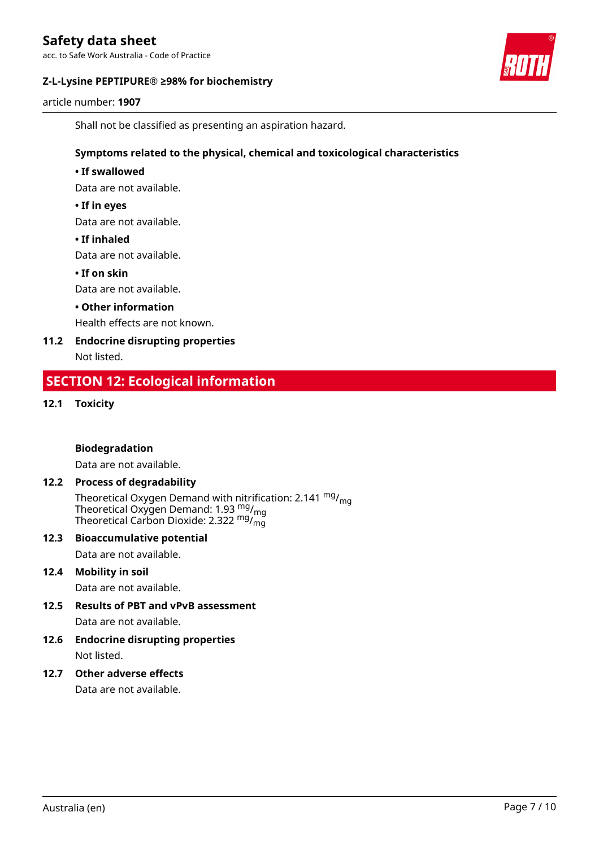acc. to Safe Work Australia - Code of Practice

#### **Z-L-Lysine PEPTIPURE® ≥98% for biochemistry**



article number: **1907**

Shall not be classified as presenting an aspiration hazard.

#### **Symptoms related to the physical, chemical and toxicological characteristics**

#### **• If swallowed**

Data are not available.

#### **• If in eyes**

Data are not available.

#### **• If inhaled**

Data are not available.

#### **• If on skin**

Data are not available.

#### **• Other information**

Health effects are not known.

# **11.2 Endocrine disrupting properties**

Not listed.

## **SECTION 12: Ecological information**

#### **12.1 Toxicity**

#### **Biodegradation**

Data are not available.

#### **12.2 Process of degradability**

Theoretical Oxygen Demand with nitrification: 2.141 <sup>mg</sup>/<sub>mg</sub> Theoretical Oxygen Demand: 1.93  $_{\rm mg}^{\rm mg}/_{\rm mg}$ Theoretical Carbon Dioxide: 2.322  $mg/mq$ 

#### **12.3 Bioaccumulative potential**

Data are not available.

#### **12.4 Mobility in soil**

Data are not available.

## **12.5 Results of PBT and vPvB assessment**

Data are not available.

#### **12.6 Endocrine disrupting properties** Not listed.

#### **12.7 Other adverse effects**

Data are not available.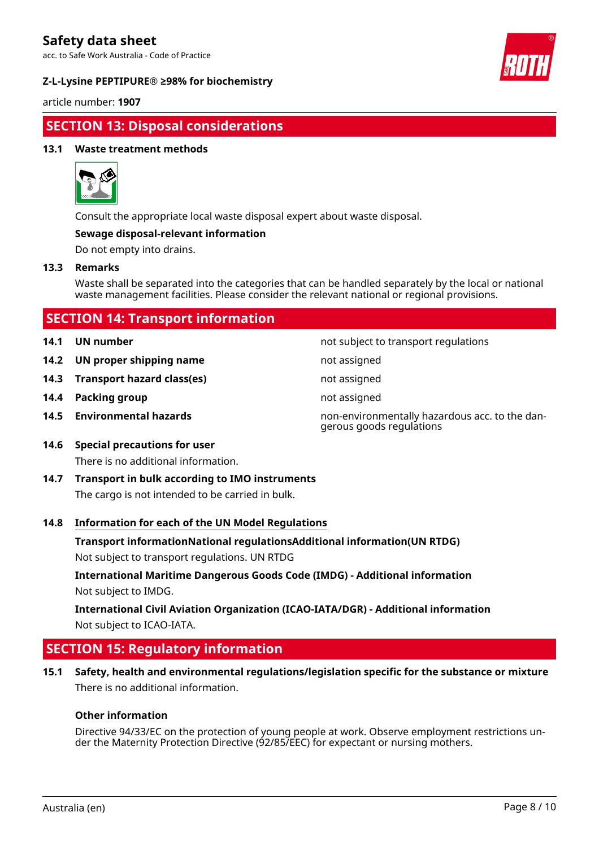acc. to Safe Work Australia - Code of Practice

#### **Z-L-Lysine PEPTIPURE® ≥98% for biochemistry**



article number: **1907**

## **SECTION 13: Disposal considerations**

#### **13.1 Waste treatment methods**



Consult the appropriate local waste disposal expert about waste disposal.

#### **Sewage disposal-relevant information**

Do not empty into drains.

#### **13.3 Remarks**

Waste shall be separated into the categories that can be handled separately by the local or national waste management facilities. Please consider the relevant national or regional provisions.

## **SECTION 14: Transport information**

- 
- **14.2 UN proper shipping name** not assigned
- **14.3 Transport hazard class(es)** not assigned
- **14.4 Packing group not assigned not assigned**
- 

**14.1 UN number 14.1 UN** number

- 
- 
- 
- **14.5 Environmental hazards** non-environmentally hazardous acc. to the dangerous goods regulations
- **14.6 Special precautions for user** There is no additional information.
- **14.7 Transport in bulk according to IMO instruments** The cargo is not intended to be carried in bulk.

#### **14.8 Information for each of the UN Model Regulations**

**Transport informationNational regulationsAdditional information(UN RTDG)**

Not subject to transport regulations. UN RTDG

**International Maritime Dangerous Goods Code (IMDG) - Additional information** Not subject to IMDG.

**International Civil Aviation Organization (ICAO-IATA/DGR) - Additional information** Not subject to ICAO-IATA.

## **SECTION 15: Regulatory information**

**15.1 Safety, health and environmental regulations/legislation specific for the substance or mixture** There is no additional information.

#### **Other information**

Directive 94/33/EC on the protection of young people at work. Observe employment restrictions under the Maternity Protection Directive (92/85/EEC) for expectant or nursing mothers.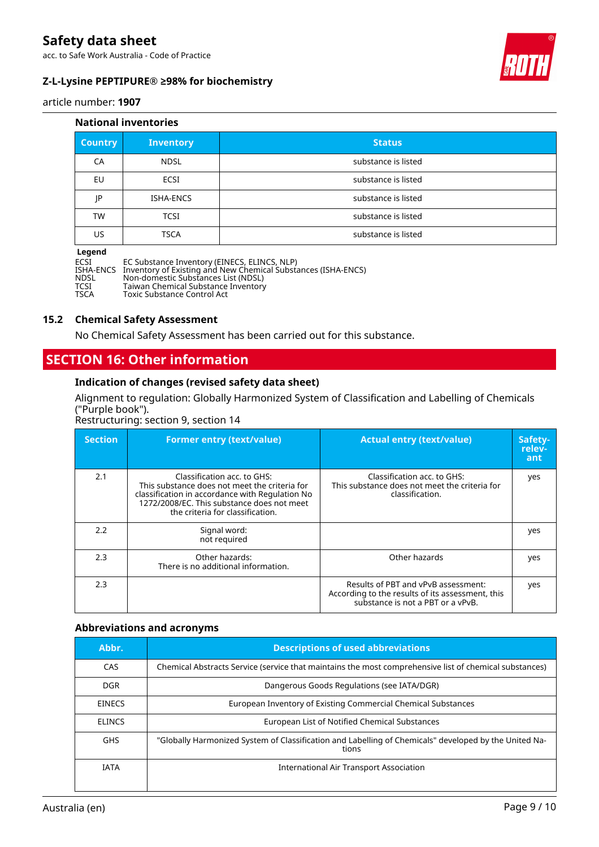acc. to Safe Work Australia - Code of Practice

#### **Z-L-Lysine PEPTIPURE® ≥98% for biochemistry**



article number: **1907**

#### **National inventories**

| <b>Country</b> | <b>Inventory</b> | <b>Status</b>       |
|----------------|------------------|---------------------|
| CA             | <b>NDSL</b>      | substance is listed |
| EU             | ECSI             | substance is listed |
| IP             | ISHA-ENCS        | substance is listed |
| TW             | <b>TCSI</b>      | substance is listed |
| US             | <b>TSCA</b>      | substance is listed |

#### **Legend**

ECSI EC Substance Inventory (EINECS, ELINCS, NLP) ISHA-ENCS Inventory of Existing and New Chemical Substances (ISHA-ENCS) NDSL Non-domestic Substances List (NDSL) TCSI Taiwan Chemical Substance Inventory TSCA Toxic Substance Control Act

#### **15.2 Chemical Safety Assessment**

No Chemical Safety Assessment has been carried out for this substance.

### **SECTION 16: Other information**

#### **Indication of changes (revised safety data sheet)**

Alignment to regulation: Globally Harmonized System of Classification and Labelling of Chemicals ("Purple book").

Restructuring: section 9, section 14

| <b>Section</b> | <b>Former entry (text/value)</b>                                                                                                                                                                                  | <b>Actual entry (text/value)</b>                                                                                             | Safety-<br>relev-<br>ant |
|----------------|-------------------------------------------------------------------------------------------------------------------------------------------------------------------------------------------------------------------|------------------------------------------------------------------------------------------------------------------------------|--------------------------|
| 2.1            | Classification acc. to GHS:<br>This substance does not meet the criteria for<br>classification in accordance with Regulation No<br>1272/2008/EC. This substance does not meet<br>the criteria for classification. | Classification acc. to GHS:<br>This substance does not meet the criteria for<br>classification.                              | yes                      |
| 2.2            | Signal word:<br>not required                                                                                                                                                                                      |                                                                                                                              | yes                      |
| 2.3            | Other hazards:<br>There is no additional information.                                                                                                                                                             | Other hazards                                                                                                                | yes                      |
| 2.3            |                                                                                                                                                                                                                   | Results of PBT and vPvB assessment:<br>According to the results of its assessment, this<br>substance is not a PBT or a vPvB. | yes                      |

#### **Abbreviations and acronyms**

| Abbr.         | <b>Descriptions of used abbreviations</b>                                                                      |
|---------------|----------------------------------------------------------------------------------------------------------------|
| CAS.          | Chemical Abstracts Service (service that maintains the most comprehensive list of chemical substances)         |
| <b>DGR</b>    | Dangerous Goods Regulations (see IATA/DGR)                                                                     |
| <b>EINECS</b> | European Inventory of Existing Commercial Chemical Substances                                                  |
| <b>ELINCS</b> | European List of Notified Chemical Substances                                                                  |
| <b>GHS</b>    | "Globally Harmonized System of Classification and Labelling of Chemicals" developed by the United Na-<br>tions |
| <b>IATA</b>   | International Air Transport Association                                                                        |